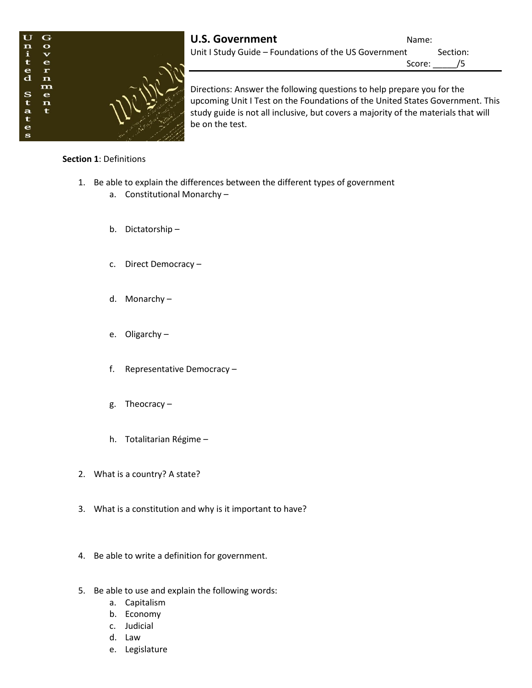

Directions: Answer the following questions to help prepare you for the upcoming Unit I Test on the Foundations of the United States Government. This study guide is not all inclusive, but covers a majority of the materials that will be on the test.

# **Section 1**: Definitions

- 1. Be able to explain the differences between the different types of government
	- a. Constitutional Monarchy –
	- b. Dictatorship –
	- c. Direct Democracy –
	- d. Monarchy –
	- e. Oligarchy –
	- f. Representative Democracy –
	- g. Theocracy –
	- h. Totalitarian Régime –
- 2. What is a country? A state?
- 3. What is a constitution and why is it important to have?
- 4. Be able to write a definition for government.
- 5. Be able to use and explain the following words:
	- a. Capitalism
	- b. Economy
	- c. Judicial
	- d. Law
	- e. Legislature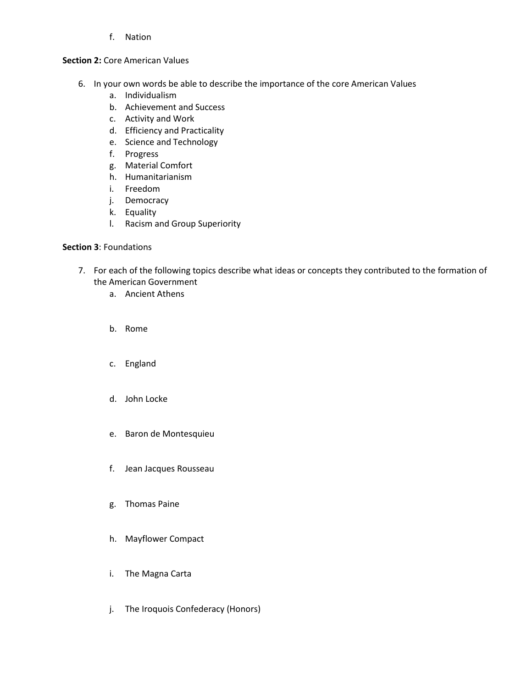f. Nation

# **Section 2: Core American Values**

- 6. In your own words be able to describe the importance of the core American Values
	- a. Individualism
	- b. Achievement and Success
	- c. Activity and Work
	- d. Efficiency and Practicality
	- e. Science and Technology
	- f. Progress
	- g. Material Comfort
	- h. Humanitarianism
	- i. Freedom
	- j. Democracy
	- k. Equality
	- l. Racism and Group Superiority

# **Section 3**: Foundations

- 7. For each of the following topics describe what ideas or concepts they contributed to the formation of the American Government
	- a. Ancient Athens
	- b. Rome
	- c. England
	- d. John Locke
	- e. Baron de Montesquieu
	- f. Jean Jacques Rousseau
	- g. Thomas Paine
	- h. Mayflower Compact
	- i. The Magna Carta
	- j. The Iroquois Confederacy (Honors)